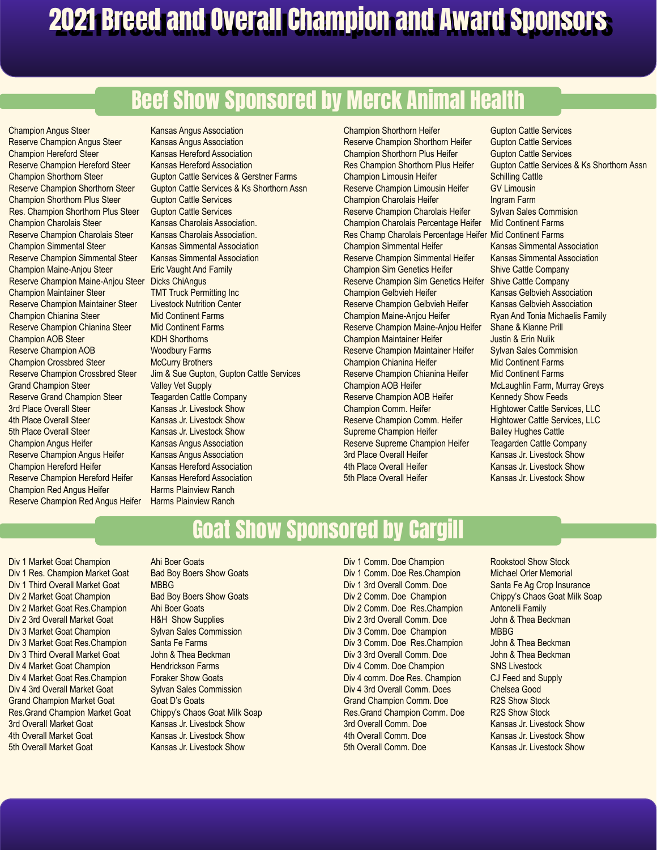# Beef Show Sponsored by Merck Animal Health

Champion Angus Steer Reserve Champion Angus Steer Champion Hereford Steer Reserve Champion Hereford Steer Champion Shorthorn Steer Reserve Champion Shorthorn Steer Champion Shorthorn Plus Steer Res. Champion Shorthorn Plus Steer Champion Charolais Steer Reserve Champion Charolais Steer Champion Simmental Steer Reserve Champion Simmental Steer Champion Maine-Anjou Steer Reserve Champion Maine-Anjou Steer Champion Maintainer Steer Reserve Champion Maintainer Steer Champion Chianina Steer Reserve Champion Chianina Steer Champion AOB Steer Reserve Champion AOB Champion Crossbred Steer Reserve Champion Crossbred Steer Grand Champion Steer Reserve Grand Champion Steer 3rd Place Overall Steer 4th Place Overall Steer 5th Place Overall Steer Champion Angus Heifer Reserve Champion Angus Heifer Champion Hereford Heifer Reserve Champion Hereford Heifer Champion Red Angus Heifer Reserve Champion Red Angus Heifer

Kansas Angus Association Kansas Angus Association Kansas Hereford Association Kansas Hereford Association Gupton Cattle Services & Gerstner Farms Gupton Cattle Services & Ks Shorthorn Assn Gupton Cattle Services Gupton Cattle Services Kansas Charolais Association. Kansas Charolais Association. Kansas Simmental Association Kansas Simmental Association Eric Vaught And Family Dicks ChiAngus TMT Truck Permitting Inc Livestock Nutrition Center Mid Continent Farms Mid Continent Farms KDH Shorthorns Woodbury Farms McCurry Brothers Jim & Sue Gupton, Gupton Cattle Services Valley Vet Supply Teagarden Cattle Company Kansas Jr. Livestock Show Kansas Jr. Livestock Show Kansas Jr. Livestock Show Kansas Angus Association Kansas Angus Association Kansas Hereford Association Kansas Hereford Association Harms Plainview Ranch Harms Plainview Ranch

Champion Shorthorn Heifer Reserve Champion Shorthorn Heifer Champion Shorthorn Plus Heifer Res Champion Shorthorn Plus Heifer Champion Limousin Heifer Reserve Champion Limousin Heifer Champion Charolais Heifer Reserve Champion Charolais Heifer Champion Charolais Percentage Heifer Res Champ Charolais Percentage Heifer Mid Continent Farms Champion Simmental Heifer Reserve Champion Simmental Heifer Champion Sim Genetics Heifer Reserve Champion Sim Genetics Heifer Champion Gelbvieh Heifer Reserve Champion Gelbvieh Heifer Champion Maine-Anjou Heifer Reserve Champion Maine-Anjou Heifer Champion Maintainer Heifer Reserve Champion Maintainer Heifer Champion Chianina Heifer Reserve Champion Chianina Heifer Champion AOB Heifer Reserve Champion AOB Heifer Champion Comm. Heifer Reserve Champion Comm. Heifer Supreme Champion Heifer Reserve Supreme Champion Heifer 3rd Place Overall Heifer 4th Place Overall Heifer 5th Place Overall Heifer

Gupton Cattle Services Gupton Cattle Services Gupton Cattle Services Gupton Cattle Services & Ks Shorthorn Assn Schilling Cattle GV Limousin Ingram Farm Sylvan Sales Commision Mid Continent Farms Kansas Simmental Association Kansas Simmental Association Shive Cattle Company Shive Cattle Company Kansas Gelbvieh Association Kansas Gelbvieh Association Ryan And Tonia Michaelis Family Shane & Kianne Prill Justin & Erin Nulik Sylvan Sales Commision Mid Continent Farms Mid Continent Farms McLaughlin Farm, Murray Greys Kennedy Show Feeds Hightower Cattle Services, LLC Hightower Cattle Services, LLC Bailey Hughes Cattle Teagarden Cattle Company Kansas Jr. Livestock Show Kansas Jr. Livestock Show Kansas Jr. Livestock Show

#### Goat Show Sponsored by Cargill

Div 1 Market Goat Champion Div 1 Res. Champion Market Goat Div 1 Third Overall Market Goat Div 2 Market Goat Champion Div 2 Market Goat Res.Champion Div 2 3rd Overall Market Goat Div 3 Market Goat Champion Div 3 Market Goat Res.Champion Div 3 Third Overall Market Goat Div 4 Market Goat Champion Div 4 Market Goat Res.Champion Div 4 3rd Overall Market Goat Grand Champion Market Goat Res.Grand Champion Market Goat 3rd Overall Market Goat 4th Overall Market Goat 5th Overall Market Goat

Ahi Boer Goats Bad Boy Boers Show Goats MBBG Bad Boy Boers Show Goats Ahi Boer Goats H&H Show Supplies Sylvan Sales Commission Santa Fe Farms John & Thea Beckman Hendrickson Farms Foraker Show Goats Sylvan Sales Commission Goat D's Goats Chippy's Chaos Goat Milk Soap Kansas Jr. Livestock Show Kansas Jr. Livestock Show Kansas Jr. Livestock Show

Div 1 Comm. Doe Champion Div 1 Comm. Doe Res.Champion Div 1 3rd Overall Comm. Doe Div 2 Comm. Doe Champion Div 2 Comm. Doe Res.Champion Div 2 3rd Overall Comm. Doe Div 3 Comm. Doe Champion Div 3 Comm. Doe Res.Champion Div 3 3rd Overall Comm. Doe Div 4 Comm. Doe Champion Div 4 comm. Doe Res. Champion Div 4 3rd Overall Comm. Does Grand Champion Comm. Doe Res.Grand Champion Comm. Doe 3rd Overall Comm. Doe 4th Overall Comm. Doe 5th Overall Comm. Doe

Rookstool Show Stock Michael Orler Memorial Santa Fe Ag Crop Insurance Chippy's Chaos Goat Milk Soap Antonelli Family John & Thea Beckman MBBG John & Thea Beckman John & Thea Beckman SNS Livestock CJ Feed and Supply Chelsea Good R2S Show Stock R2S Show Stock Kansas Jr. Livestock Show Kansas Jr. Livestock Show Kansas Jr. Livestock Show